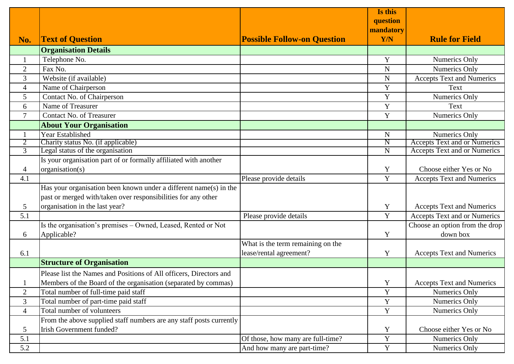|                |                                                                     |                                    | Is this                   |                                     |
|----------------|---------------------------------------------------------------------|------------------------------------|---------------------------|-------------------------------------|
|                |                                                                     |                                    | question                  |                                     |
|                |                                                                     |                                    | mandatory                 |                                     |
| No.            | <b>Text of Question</b>                                             | <b>Possible Follow-on Question</b> | Y/N                       | <b>Rule for Field</b>               |
|                | <b>Organisation Details</b>                                         |                                    |                           |                                     |
|                | Telephone No.                                                       |                                    | Y                         | Numerics Only                       |
| $\overline{2}$ | Fax No.                                                             |                                    | N                         | <b>Numerics Only</b>                |
| 3              | Website (if available)                                              |                                    | $\mathbf N$               | <b>Accepts Text and Numerics</b>    |
| $\overline{4}$ | Name of Chairperson                                                 |                                    | Y                         | Text                                |
| 5              | Contact No. of Chairperson                                          |                                    | Y                         | Numerics Only                       |
| 6              | Name of Treasurer                                                   |                                    | Y                         | Text                                |
| $\tau$         | <b>Contact No. of Treasurer</b>                                     |                                    | Y                         | Numerics Only                       |
|                | <b>About Your Organisation</b>                                      |                                    |                           |                                     |
|                | Year Established                                                    |                                    | $\mathbf N$               | Numerics Only                       |
| 2              | Charity status No. (if applicable)                                  |                                    | $\boldsymbol{\mathrm{N}}$ | <b>Accepts Text and or Numerics</b> |
| 3              | Legal status of the organisation                                    |                                    | $\overline{N}$            | Accepts Text and or Numerics        |
|                | Is your organisation part of or formally affiliated with another    |                                    |                           |                                     |
| $\overline{4}$ | organisation(s)                                                     |                                    | Y                         | Choose either Yes or No             |
| 4.1            |                                                                     | Please provide details             | Y                         | <b>Accepts Text and Numerics</b>    |
|                | Has your organisation been known under a different name(s) in the   |                                    |                           |                                     |
|                | past or merged with/taken over responsibilities for any other       |                                    |                           |                                     |
| 5              | organisation in the last year?                                      |                                    | Y                         | <b>Accepts Text and Numerics</b>    |
| 5.1            |                                                                     | Please provide details             | Y                         | Accepts Text and or Numerics        |
|                | Is the organisation's premises - Owned, Leased, Rented or Not       |                                    |                           | Choose an option from the drop      |
| 6              | Applicable?                                                         |                                    | Y                         | down box                            |
|                |                                                                     | What is the term remaining on the  |                           |                                     |
| 6.1            |                                                                     | lease/rental agreement?            | Y                         | <b>Accepts Text and Numerics</b>    |
|                | <b>Structure of Organisation</b>                                    |                                    |                           |                                     |
|                | Please list the Names and Positions of All officers, Directors and  |                                    |                           |                                     |
|                | Members of the Board of the organisation (separated by commas)      |                                    | Y                         | <b>Accepts Text and Numerics</b>    |
| $\overline{2}$ | Total number of full-time paid staff                                |                                    | Y                         | <b>Numerics Only</b>                |
| 3              | Total number of part-time paid staff                                |                                    | Y                         | Numerics Only                       |
| $\overline{4}$ | Total number of volunteers                                          |                                    | $\mathbf Y$               | Numerics Only                       |
|                | From the above supplied staff numbers are any staff posts currently |                                    |                           |                                     |
| 5              | <b>Irish Government funded?</b>                                     |                                    | Y                         | Choose either Yes or No             |
| 5.1            |                                                                     | Of those, how many are full-time?  | $\mathbf Y$               | Numerics Only                       |
| 5.2            |                                                                     | And how many are part-time?        | Y                         | Numerics Only                       |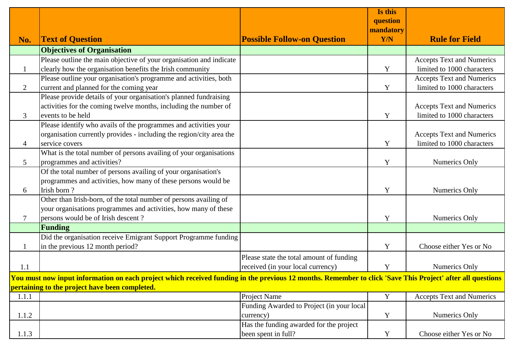| mandatory<br><b>Rule for Field</b><br><b>Text of Question</b><br><b>Possible Follow-on Question</b><br>Y/N<br>No.<br><b>Objectives of Organisation</b><br>Please outline the main objective of your organisation and indicate<br><b>Accepts Text and Numerics</b><br>clearly how the organisation benefits the Irish community<br>limited to 1000 characters<br>Y<br>$\mathbf{1}$<br>Please outline your organisation's programme and activities, both<br><b>Accepts Text and Numerics</b><br>current and planned for the coming year<br>limited to 1000 characters<br>$\overline{2}$<br>Y<br>Please provide details of your organisation's planned fundraising<br>activities for the coming twelve months, including the number of<br><b>Accepts Text and Numerics</b><br>limited to 1000 characters<br>events to be held<br>3<br>Y<br>Please identify who avails of the programmes and activities your<br>organisation currently provides - including the region/city area the<br><b>Accepts Text and Numerics</b><br>limited to 1000 characters<br>service covers<br>Y<br>4<br>What is the total number of persons availing of your organisations<br>5<br>programmes and activities?<br>Numerics Only<br>Y<br>Of the total number of persons availing of your organisation's<br>programmes and activities, how many of these persons would be<br>Irish born?<br>Numerics Only<br>Y<br>6<br>Other than Irish-born, of the total number of persons availing of<br>your organisations programmes and activities, how many of these<br>persons would be of Irish descent?<br>7<br>Y<br>Numerics Only<br><b>Funding</b><br>Did the organisation receive Emigrant Support Programme funding<br>in the previous 12 month period?<br>Choose either Yes or No<br>Y<br>$\mathbf{1}$<br>Please state the total amount of funding<br>received (in your local currency)<br>1.1<br>Y<br>Numerics Only<br>You must now input information on each project which received funding in the previous 12 months. Remember to click 'Save This Project' after all questions<br>pertaining to the project have been completed.<br>Y<br>Project Name<br><b>Accepts Text and Numerics</b><br>1.1.1<br>Funding Awarded to Project (in your local |       |           | Is this<br>question |               |
|---------------------------------------------------------------------------------------------------------------------------------------------------------------------------------------------------------------------------------------------------------------------------------------------------------------------------------------------------------------------------------------------------------------------------------------------------------------------------------------------------------------------------------------------------------------------------------------------------------------------------------------------------------------------------------------------------------------------------------------------------------------------------------------------------------------------------------------------------------------------------------------------------------------------------------------------------------------------------------------------------------------------------------------------------------------------------------------------------------------------------------------------------------------------------------------------------------------------------------------------------------------------------------------------------------------------------------------------------------------------------------------------------------------------------------------------------------------------------------------------------------------------------------------------------------------------------------------------------------------------------------------------------------------------------------------------------------------------------------------------------------------------------------------------------------------------------------------------------------------------------------------------------------------------------------------------------------------------------------------------------------------------------------------------------------------------------------------------------------------------------------------------------------------------------------------------------------------------------|-------|-----------|---------------------|---------------|
|                                                                                                                                                                                                                                                                                                                                                                                                                                                                                                                                                                                                                                                                                                                                                                                                                                                                                                                                                                                                                                                                                                                                                                                                                                                                                                                                                                                                                                                                                                                                                                                                                                                                                                                                                                                                                                                                                                                                                                                                                                                                                                                                                                                                                           |       |           |                     |               |
|                                                                                                                                                                                                                                                                                                                                                                                                                                                                                                                                                                                                                                                                                                                                                                                                                                                                                                                                                                                                                                                                                                                                                                                                                                                                                                                                                                                                                                                                                                                                                                                                                                                                                                                                                                                                                                                                                                                                                                                                                                                                                                                                                                                                                           |       |           |                     |               |
|                                                                                                                                                                                                                                                                                                                                                                                                                                                                                                                                                                                                                                                                                                                                                                                                                                                                                                                                                                                                                                                                                                                                                                                                                                                                                                                                                                                                                                                                                                                                                                                                                                                                                                                                                                                                                                                                                                                                                                                                                                                                                                                                                                                                                           |       |           |                     |               |
|                                                                                                                                                                                                                                                                                                                                                                                                                                                                                                                                                                                                                                                                                                                                                                                                                                                                                                                                                                                                                                                                                                                                                                                                                                                                                                                                                                                                                                                                                                                                                                                                                                                                                                                                                                                                                                                                                                                                                                                                                                                                                                                                                                                                                           |       |           |                     |               |
|                                                                                                                                                                                                                                                                                                                                                                                                                                                                                                                                                                                                                                                                                                                                                                                                                                                                                                                                                                                                                                                                                                                                                                                                                                                                                                                                                                                                                                                                                                                                                                                                                                                                                                                                                                                                                                                                                                                                                                                                                                                                                                                                                                                                                           |       |           |                     |               |
|                                                                                                                                                                                                                                                                                                                                                                                                                                                                                                                                                                                                                                                                                                                                                                                                                                                                                                                                                                                                                                                                                                                                                                                                                                                                                                                                                                                                                                                                                                                                                                                                                                                                                                                                                                                                                                                                                                                                                                                                                                                                                                                                                                                                                           |       |           |                     |               |
|                                                                                                                                                                                                                                                                                                                                                                                                                                                                                                                                                                                                                                                                                                                                                                                                                                                                                                                                                                                                                                                                                                                                                                                                                                                                                                                                                                                                                                                                                                                                                                                                                                                                                                                                                                                                                                                                                                                                                                                                                                                                                                                                                                                                                           |       |           |                     |               |
|                                                                                                                                                                                                                                                                                                                                                                                                                                                                                                                                                                                                                                                                                                                                                                                                                                                                                                                                                                                                                                                                                                                                                                                                                                                                                                                                                                                                                                                                                                                                                                                                                                                                                                                                                                                                                                                                                                                                                                                                                                                                                                                                                                                                                           |       |           |                     |               |
|                                                                                                                                                                                                                                                                                                                                                                                                                                                                                                                                                                                                                                                                                                                                                                                                                                                                                                                                                                                                                                                                                                                                                                                                                                                                                                                                                                                                                                                                                                                                                                                                                                                                                                                                                                                                                                                                                                                                                                                                                                                                                                                                                                                                                           |       |           |                     |               |
|                                                                                                                                                                                                                                                                                                                                                                                                                                                                                                                                                                                                                                                                                                                                                                                                                                                                                                                                                                                                                                                                                                                                                                                                                                                                                                                                                                                                                                                                                                                                                                                                                                                                                                                                                                                                                                                                                                                                                                                                                                                                                                                                                                                                                           |       |           |                     |               |
|                                                                                                                                                                                                                                                                                                                                                                                                                                                                                                                                                                                                                                                                                                                                                                                                                                                                                                                                                                                                                                                                                                                                                                                                                                                                                                                                                                                                                                                                                                                                                                                                                                                                                                                                                                                                                                                                                                                                                                                                                                                                                                                                                                                                                           |       |           |                     |               |
|                                                                                                                                                                                                                                                                                                                                                                                                                                                                                                                                                                                                                                                                                                                                                                                                                                                                                                                                                                                                                                                                                                                                                                                                                                                                                                                                                                                                                                                                                                                                                                                                                                                                                                                                                                                                                                                                                                                                                                                                                                                                                                                                                                                                                           |       |           |                     |               |
|                                                                                                                                                                                                                                                                                                                                                                                                                                                                                                                                                                                                                                                                                                                                                                                                                                                                                                                                                                                                                                                                                                                                                                                                                                                                                                                                                                                                                                                                                                                                                                                                                                                                                                                                                                                                                                                                                                                                                                                                                                                                                                                                                                                                                           |       |           |                     |               |
|                                                                                                                                                                                                                                                                                                                                                                                                                                                                                                                                                                                                                                                                                                                                                                                                                                                                                                                                                                                                                                                                                                                                                                                                                                                                                                                                                                                                                                                                                                                                                                                                                                                                                                                                                                                                                                                                                                                                                                                                                                                                                                                                                                                                                           |       |           |                     |               |
|                                                                                                                                                                                                                                                                                                                                                                                                                                                                                                                                                                                                                                                                                                                                                                                                                                                                                                                                                                                                                                                                                                                                                                                                                                                                                                                                                                                                                                                                                                                                                                                                                                                                                                                                                                                                                                                                                                                                                                                                                                                                                                                                                                                                                           |       |           |                     |               |
|                                                                                                                                                                                                                                                                                                                                                                                                                                                                                                                                                                                                                                                                                                                                                                                                                                                                                                                                                                                                                                                                                                                                                                                                                                                                                                                                                                                                                                                                                                                                                                                                                                                                                                                                                                                                                                                                                                                                                                                                                                                                                                                                                                                                                           |       |           |                     |               |
|                                                                                                                                                                                                                                                                                                                                                                                                                                                                                                                                                                                                                                                                                                                                                                                                                                                                                                                                                                                                                                                                                                                                                                                                                                                                                                                                                                                                                                                                                                                                                                                                                                                                                                                                                                                                                                                                                                                                                                                                                                                                                                                                                                                                                           |       |           |                     |               |
|                                                                                                                                                                                                                                                                                                                                                                                                                                                                                                                                                                                                                                                                                                                                                                                                                                                                                                                                                                                                                                                                                                                                                                                                                                                                                                                                                                                                                                                                                                                                                                                                                                                                                                                                                                                                                                                                                                                                                                                                                                                                                                                                                                                                                           |       |           |                     |               |
|                                                                                                                                                                                                                                                                                                                                                                                                                                                                                                                                                                                                                                                                                                                                                                                                                                                                                                                                                                                                                                                                                                                                                                                                                                                                                                                                                                                                                                                                                                                                                                                                                                                                                                                                                                                                                                                                                                                                                                                                                                                                                                                                                                                                                           |       |           |                     |               |
|                                                                                                                                                                                                                                                                                                                                                                                                                                                                                                                                                                                                                                                                                                                                                                                                                                                                                                                                                                                                                                                                                                                                                                                                                                                                                                                                                                                                                                                                                                                                                                                                                                                                                                                                                                                                                                                                                                                                                                                                                                                                                                                                                                                                                           |       |           |                     |               |
|                                                                                                                                                                                                                                                                                                                                                                                                                                                                                                                                                                                                                                                                                                                                                                                                                                                                                                                                                                                                                                                                                                                                                                                                                                                                                                                                                                                                                                                                                                                                                                                                                                                                                                                                                                                                                                                                                                                                                                                                                                                                                                                                                                                                                           |       |           |                     |               |
|                                                                                                                                                                                                                                                                                                                                                                                                                                                                                                                                                                                                                                                                                                                                                                                                                                                                                                                                                                                                                                                                                                                                                                                                                                                                                                                                                                                                                                                                                                                                                                                                                                                                                                                                                                                                                                                                                                                                                                                                                                                                                                                                                                                                                           |       |           |                     |               |
|                                                                                                                                                                                                                                                                                                                                                                                                                                                                                                                                                                                                                                                                                                                                                                                                                                                                                                                                                                                                                                                                                                                                                                                                                                                                                                                                                                                                                                                                                                                                                                                                                                                                                                                                                                                                                                                                                                                                                                                                                                                                                                                                                                                                                           |       |           |                     |               |
|                                                                                                                                                                                                                                                                                                                                                                                                                                                                                                                                                                                                                                                                                                                                                                                                                                                                                                                                                                                                                                                                                                                                                                                                                                                                                                                                                                                                                                                                                                                                                                                                                                                                                                                                                                                                                                                                                                                                                                                                                                                                                                                                                                                                                           |       |           |                     |               |
|                                                                                                                                                                                                                                                                                                                                                                                                                                                                                                                                                                                                                                                                                                                                                                                                                                                                                                                                                                                                                                                                                                                                                                                                                                                                                                                                                                                                                                                                                                                                                                                                                                                                                                                                                                                                                                                                                                                                                                                                                                                                                                                                                                                                                           |       |           |                     |               |
|                                                                                                                                                                                                                                                                                                                                                                                                                                                                                                                                                                                                                                                                                                                                                                                                                                                                                                                                                                                                                                                                                                                                                                                                                                                                                                                                                                                                                                                                                                                                                                                                                                                                                                                                                                                                                                                                                                                                                                                                                                                                                                                                                                                                                           |       |           |                     |               |
|                                                                                                                                                                                                                                                                                                                                                                                                                                                                                                                                                                                                                                                                                                                                                                                                                                                                                                                                                                                                                                                                                                                                                                                                                                                                                                                                                                                                                                                                                                                                                                                                                                                                                                                                                                                                                                                                                                                                                                                                                                                                                                                                                                                                                           |       |           |                     |               |
|                                                                                                                                                                                                                                                                                                                                                                                                                                                                                                                                                                                                                                                                                                                                                                                                                                                                                                                                                                                                                                                                                                                                                                                                                                                                                                                                                                                                                                                                                                                                                                                                                                                                                                                                                                                                                                                                                                                                                                                                                                                                                                                                                                                                                           |       |           |                     |               |
|                                                                                                                                                                                                                                                                                                                                                                                                                                                                                                                                                                                                                                                                                                                                                                                                                                                                                                                                                                                                                                                                                                                                                                                                                                                                                                                                                                                                                                                                                                                                                                                                                                                                                                                                                                                                                                                                                                                                                                                                                                                                                                                                                                                                                           |       |           |                     |               |
|                                                                                                                                                                                                                                                                                                                                                                                                                                                                                                                                                                                                                                                                                                                                                                                                                                                                                                                                                                                                                                                                                                                                                                                                                                                                                                                                                                                                                                                                                                                                                                                                                                                                                                                                                                                                                                                                                                                                                                                                                                                                                                                                                                                                                           |       |           |                     |               |
|                                                                                                                                                                                                                                                                                                                                                                                                                                                                                                                                                                                                                                                                                                                                                                                                                                                                                                                                                                                                                                                                                                                                                                                                                                                                                                                                                                                                                                                                                                                                                                                                                                                                                                                                                                                                                                                                                                                                                                                                                                                                                                                                                                                                                           | 1.1.2 | currency) | $\mathbf Y$         | Numerics Only |
| Has the funding awarded for the project                                                                                                                                                                                                                                                                                                                                                                                                                                                                                                                                                                                                                                                                                                                                                                                                                                                                                                                                                                                                                                                                                                                                                                                                                                                                                                                                                                                                                                                                                                                                                                                                                                                                                                                                                                                                                                                                                                                                                                                                                                                                                                                                                                                   |       |           |                     |               |
| 1.1.3<br>been spent in full?<br>$\mathbf Y$<br>Choose either Yes or No                                                                                                                                                                                                                                                                                                                                                                                                                                                                                                                                                                                                                                                                                                                                                                                                                                                                                                                                                                                                                                                                                                                                                                                                                                                                                                                                                                                                                                                                                                                                                                                                                                                                                                                                                                                                                                                                                                                                                                                                                                                                                                                                                    |       |           |                     |               |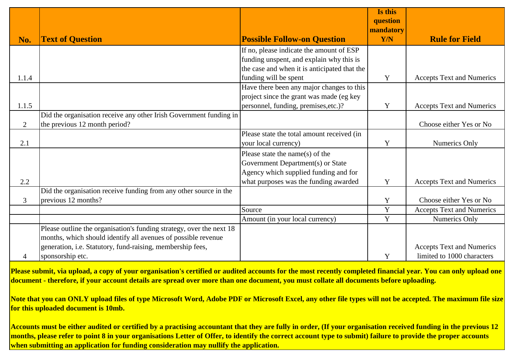|                |                                                                      |                                              | Is this<br>question     |                                  |
|----------------|----------------------------------------------------------------------|----------------------------------------------|-------------------------|----------------------------------|
| No.            | <b>Text of Question</b>                                              | <b>Possible Follow-on Question</b>           | mandatory<br><b>Y/N</b> | <b>Rule for Field</b>            |
|                |                                                                      | If no, please indicate the amount of ESP     |                         |                                  |
|                |                                                                      | funding unspent, and explain why this is     |                         |                                  |
|                |                                                                      | the case and when it is anticipated that the |                         |                                  |
| 1.1.4          |                                                                      | funding will be spent                        | Y                       | <b>Accepts Text and Numerics</b> |
|                |                                                                      | Have there been any major changes to this    |                         |                                  |
|                |                                                                      | project since the grant was made (eg key     |                         |                                  |
| 1.1.5          |                                                                      | personnel, funding, premises, etc.)?         | Y                       | <b>Accepts Text and Numerics</b> |
|                | Did the organisation receive any other Irish Government funding in   |                                              |                         |                                  |
| 2              | the previous 12 month period?                                        |                                              |                         | Choose either Yes or No          |
|                |                                                                      | Please state the total amount received (in   |                         |                                  |
| 2.1            |                                                                      | your local currency)                         | Y                       | Numerics Only                    |
|                |                                                                      | Please state the name(s) of the              |                         |                                  |
|                |                                                                      | Government Department(s) or State            |                         |                                  |
|                |                                                                      | Agency which supplied funding and for        |                         |                                  |
| 2.2            |                                                                      | what purposes was the funding awarded        | Y                       | <b>Accepts Text and Numerics</b> |
|                | Did the organisation receive funding from any other source in the    |                                              |                         |                                  |
| $\overline{3}$ | previous 12 months?                                                  |                                              | $\mathbf Y$             | Choose either Yes or No          |
|                |                                                                      | Source                                       | Y                       | <b>Accepts Text and Numerics</b> |
|                |                                                                      | Amount (in your local currency)              | Y                       | Numerics Only                    |
|                | Please outline the organisation's funding strategy, over the next 18 |                                              |                         |                                  |
|                | months, which should identify all avenues of possible revenue        |                                              |                         |                                  |
|                | generation, i.e. Statutory, fund-raising, membership fees,           |                                              |                         | <b>Accepts Text and Numerics</b> |
| 4              | sponsorship etc.                                                     |                                              | Y                       | limited to 1000 characters       |

**Please submit, via upload, a copy of your organisation's certified or audited accounts for the most recently completed financial year. You can only upload one document - therefore, if your account details are spread over more than one document, you must collate all documents before uploading.**

**Note that you can ONLY upload files of type Microsoft Word, Adobe PDF or Microsoft Excel, any other file types will not be accepted. The maximum file size for this uploaded document is 10mb.**

**Accounts must be either audited or certified by a practising accountant that they are fully in order, (If your organisation received funding in the previous 12 months, please refer to point 8 in your organisations Letter of Offer, to identify the correct account type to submit) failure to provide the proper accounts when submitting an application for funding consideration may nullify the application.**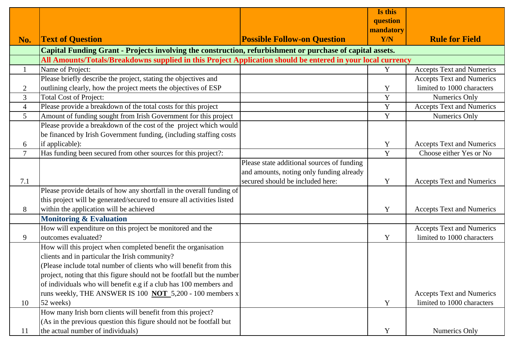|                 |                                                                                                             |                                            | Is this     |                                  |
|-----------------|-------------------------------------------------------------------------------------------------------------|--------------------------------------------|-------------|----------------------------------|
|                 |                                                                                                             |                                            | question    |                                  |
|                 |                                                                                                             |                                            | mandatory   |                                  |
| No.             | <b>Text of Question</b>                                                                                     | <b>Possible Follow-on Question</b>         | <b>Y/N</b>  | <b>Rule for Field</b>            |
|                 | Capital Funding Grant - Projects involving the construction, refurbishment or purchase of capital assets.   |                                            |             |                                  |
|                 | All Amounts/Totals/Breakdowns supplied in this Project Application should be entered in your local currency |                                            |             |                                  |
| 1               | Name of Project:                                                                                            |                                            | Y           | <b>Accepts Text and Numerics</b> |
|                 | Please briefly describe the project, stating the objectives and                                             |                                            |             | <b>Accepts Text and Numerics</b> |
| $\overline{2}$  | outlining clearly, how the project meets the objectives of ESP                                              |                                            | Y           | limited to 1000 characters       |
| 3               | <b>Total Cost of Project:</b>                                                                               |                                            | Y           | Numerics Only                    |
| $\overline{4}$  | Please provide a breakdown of the total costs for this project                                              |                                            | $\mathbf Y$ | <b>Accepts Text and Numerics</b> |
| $5\overline{)}$ | Amount of funding sought from Irish Government for this project                                             |                                            | Y           | Numerics Only                    |
|                 | Please provide a breakdown of the cost of the project which would                                           |                                            |             |                                  |
|                 | be financed by Irish Government funding, (including staffing costs                                          |                                            |             |                                  |
| 6               | if applicable):                                                                                             |                                            | Y           | <b>Accepts Text and Numerics</b> |
| $\overline{7}$  | Has funding been secured from other sources for this project?:                                              |                                            | Y           | Choose either Yes or No          |
|                 |                                                                                                             | Please state additional sources of funding |             |                                  |
|                 |                                                                                                             | and amounts, noting only funding already   |             |                                  |
| 7.1             |                                                                                                             | secured should be included here:           | Y           | <b>Accepts Text and Numerics</b> |
|                 | Please provide details of how any shortfall in the overall funding of                                       |                                            |             |                                  |
|                 | this project will be generated/secured to ensure all activities listed                                      |                                            |             |                                  |
| 8               | within the application will be achieved                                                                     |                                            | Y           | <b>Accepts Text and Numerics</b> |
|                 | <b>Monitoring &amp; Evaluation</b>                                                                          |                                            |             |                                  |
|                 | How will expenditure on this project be monitored and the                                                   |                                            |             | <b>Accepts Text and Numerics</b> |
| 9               | outcomes evaluated?                                                                                         |                                            | Y           | limited to 1000 characters       |
|                 | How will this project when completed benefit the organisation                                               |                                            |             |                                  |
|                 | clients and in particular the Irish community?                                                              |                                            |             |                                  |
|                 | (Please include total number of clients who will benefit from this                                          |                                            |             |                                  |
|                 | project, noting that this figure should not be footfall but the number                                      |                                            |             |                                  |
|                 | of individuals who will benefit e.g if a club has 100 members and                                           |                                            |             |                                  |
|                 | runs weekly, THE ANSWER IS 100 <b>NOT</b> 5,200 - 100 members x                                             |                                            |             | <b>Accepts Text and Numerics</b> |
| 10              | 52 weeks)                                                                                                   |                                            | Y           | limited to 1000 characters       |
|                 | How many Irish born clients will benefit from this project?                                                 |                                            |             |                                  |
|                 | (As in the previous question this figure should not be footfall but                                         |                                            |             |                                  |
| 11              | the actual number of individuals)                                                                           |                                            | Y           | <b>Numerics Only</b>             |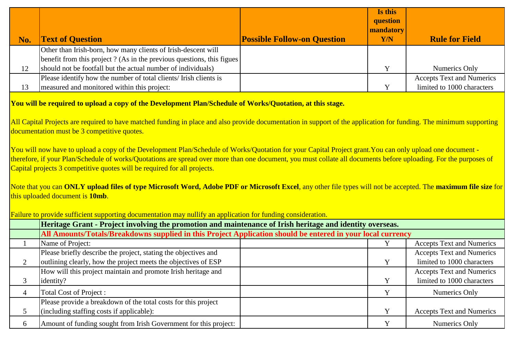|     |                                                                        |                                    | Is this<br>question<br>mandatory |                                  |
|-----|------------------------------------------------------------------------|------------------------------------|----------------------------------|----------------------------------|
| No. | <b>Text of Question</b>                                                | <b>Possible Follow-on Question</b> | Y/N                              | <b>Rule for Field</b>            |
|     | Other than Irish-born, how many clients of Irish-descent will          |                                    |                                  |                                  |
|     | benefit from this project? (As in the previous questions, this figues) |                                    |                                  |                                  |
| 12  | should not be footfall but the actual number of individuals)           |                                    |                                  | Numerics Only                    |
|     | Please identify how the number of total clients/ Irish clients is      |                                    |                                  | <b>Accepts Text and Numerics</b> |
| 13  | measured and monitored within this project:                            |                                    |                                  | limited to 1000 characters       |
|     |                                                                        |                                    |                                  |                                  |

**You will be required to upload a copy of the Development Plan/Schedule of Works/Quotation, at this stage.**

Failure to provide sufficient supporting documentation may nullify an application for funding consideration.

All Capital Projects are required to have matched funding in place and also provide documentation in support of the application for funding. The minimum supporting documentation must be 3 competitive quotes.

You will now have to upload a copy of the Development Plan/Schedule of Works/Quotation for your Capital Project grant.You can only upload one document therefore, if your Plan/Schedule of works/Quotations are spread over more than one document, you must collate all documents before uploading. For the purposes of Capital projects 3 competitive quotes will be required for all projects.

Note that you can **ONLY upload files of type Microsoft Word, Adobe PDF or Microsoft Excel**, any other file types will not be accepted. The **maximum file size** for this uploaded document is **10mb**.

|   | <u>Frantie to provide surficient supporting documentation may numity an apprication for funding consideration.</u> |  |  |                                  |  |
|---|--------------------------------------------------------------------------------------------------------------------|--|--|----------------------------------|--|
|   | Heritage Grant - Project involving the promotion and maintenance of Irish heritage and identity overseas.          |  |  |                                  |  |
|   | All Amounts/Totals/Breakdowns supplied in this Project Application should be entered in your local currency        |  |  |                                  |  |
|   | Name of Project:                                                                                                   |  |  | <b>Accepts Text and Numerics</b> |  |
|   | Please briefly describe the project, stating the objectives and                                                    |  |  | <b>Accepts Text and Numerics</b> |  |
|   | outlining clearly, how the project meets the objectives of ESP                                                     |  |  | limited to 1000 characters       |  |
|   | How will this project maintain and promote Irish heritage and                                                      |  |  | <b>Accepts Text and Numerics</b> |  |
|   | identity?                                                                                                          |  |  | limited to 1000 characters       |  |
|   | Total Cost of Project :                                                                                            |  |  | Numerics Only                    |  |
|   | Please provide a breakdown of the total costs for this project                                                     |  |  |                                  |  |
|   | (including staffing costs if applicable):                                                                          |  |  | <b>Accepts Text and Numerics</b> |  |
| 6 | Amount of funding sought from Irish Government for this project:                                                   |  |  | Numerics Only                    |  |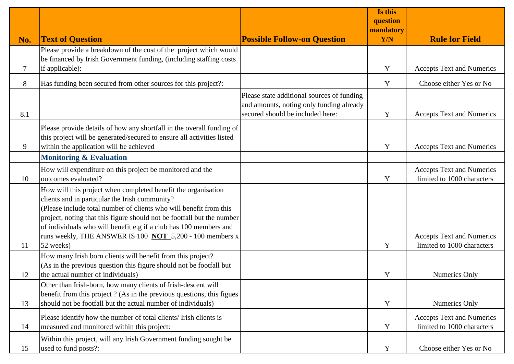|               |                                                                                                                                                                                                                                                                                                                                                                                                        |                                                                                        | Is this<br>question |                                                                |
|---------------|--------------------------------------------------------------------------------------------------------------------------------------------------------------------------------------------------------------------------------------------------------------------------------------------------------------------------------------------------------------------------------------------------------|----------------------------------------------------------------------------------------|---------------------|----------------------------------------------------------------|
| No.           | <b>Text of Question</b>                                                                                                                                                                                                                                                                                                                                                                                | <b>Possible Follow-on Question</b>                                                     | mandatory<br>Y/N    | <b>Rule for Field</b>                                          |
|               | Please provide a breakdown of the cost of the project which would                                                                                                                                                                                                                                                                                                                                      |                                                                                        |                     |                                                                |
| 7             | be financed by Irish Government funding, (including staffing costs<br>if applicable):                                                                                                                                                                                                                                                                                                                  |                                                                                        | Y                   | <b>Accepts Text and Numerics</b>                               |
| 8             | Has funding been secured from other sources for this project?:                                                                                                                                                                                                                                                                                                                                         |                                                                                        | Y                   | Choose either Yes or No                                        |
|               |                                                                                                                                                                                                                                                                                                                                                                                                        | Please state additional sources of funding<br>and amounts, noting only funding already |                     |                                                                |
| 8.1           |                                                                                                                                                                                                                                                                                                                                                                                                        | secured should be included here:                                                       | Y                   | <b>Accepts Text and Numerics</b>                               |
| 9             | Please provide details of how any shortfall in the overall funding of<br>this project will be generated/secured to ensure all activities listed<br>within the application will be achieved                                                                                                                                                                                                             |                                                                                        | Y                   | <b>Accepts Text and Numerics</b>                               |
|               | <b>Monitoring &amp; Evaluation</b>                                                                                                                                                                                                                                                                                                                                                                     |                                                                                        |                     |                                                                |
| 10            | How will expenditure on this project be monitored and the<br>outcomes evaluated?                                                                                                                                                                                                                                                                                                                       |                                                                                        | Y                   | <b>Accepts Text and Numerics</b><br>limited to 1000 characters |
|               | How will this project when completed benefit the organisation<br>clients and in particular the Irish community?<br>Please include total number of clients who will benefit from this<br>project, noting that this figure should not be footfall but the number<br>of individuals who will benefit e.g if a club has 100 members and<br>runs weekly, THE ANSWER IS 100 <b>NOT</b> 5,200 - 100 members x |                                                                                        |                     | <b>Accepts Text and Numerics</b>                               |
| <sup>11</sup> | 52 weeks)                                                                                                                                                                                                                                                                                                                                                                                              |                                                                                        | Y                   | limited to 1000 characters                                     |
|               | How many Irish born clients will benefit from this project?<br>(As in the previous question this figure should not be footfall but                                                                                                                                                                                                                                                                     |                                                                                        |                     |                                                                |
| 12            | the actual number of individuals)                                                                                                                                                                                                                                                                                                                                                                      |                                                                                        | Y                   | Numerics Only                                                  |
| 13            | Other than Irish-born, how many clients of Irish-descent will<br>benefit from this project? (As in the previous questions, this figues<br>should not be footfall but the actual number of individuals)                                                                                                                                                                                                 |                                                                                        | Y                   | Numerics Only                                                  |
| 14            | Please identify how the number of total clients/ Irish clients is<br>measured and monitored within this project:                                                                                                                                                                                                                                                                                       |                                                                                        | Y                   | <b>Accepts Text and Numerics</b><br>limited to 1000 characters |
| 15            | Within this project, will any Irish Government funding sought be<br>used to fund posts?:                                                                                                                                                                                                                                                                                                               |                                                                                        | Y                   | Choose either Yes or No                                        |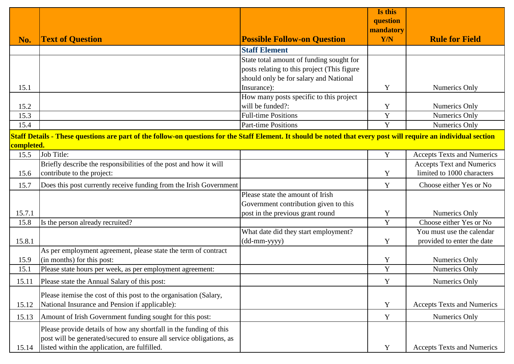|            |                                                                                                                                                                  |                                             | Is this               |                                   |
|------------|------------------------------------------------------------------------------------------------------------------------------------------------------------------|---------------------------------------------|-----------------------|-----------------------------------|
|            |                                                                                                                                                                  |                                             | question<br>mandatory |                                   |
| No.        | <b>Text of Question</b>                                                                                                                                          | <b>Possible Follow-on Question</b>          | Y/N                   | <b>Rule for Field</b>             |
|            |                                                                                                                                                                  | <b>Staff Element</b>                        |                       |                                   |
|            |                                                                                                                                                                  | State total amount of funding sought for    |                       |                                   |
|            |                                                                                                                                                                  | posts relating to this project (This figure |                       |                                   |
|            |                                                                                                                                                                  | should only be for salary and National      |                       |                                   |
| 15.1       |                                                                                                                                                                  | Insurance):                                 | Y                     | Numerics Only                     |
|            |                                                                                                                                                                  | How many posts specific to this project     |                       |                                   |
| 15.2       |                                                                                                                                                                  | will be funded?:                            | Y                     | Numerics Only                     |
| 15.3       |                                                                                                                                                                  | <b>Full-time Positions</b>                  | Y                     | <b>Numerics Only</b>              |
| 15.4       |                                                                                                                                                                  | <b>Part-time Positions</b>                  | Y                     | Numerics Only                     |
|            | Staff Details - These questions are part of the follow-on questions for the Staff Element. It should be noted that every post will require an individual section |                                             |                       |                                   |
| completed. |                                                                                                                                                                  |                                             |                       |                                   |
| 15.5       | Job Title:                                                                                                                                                       |                                             | Y                     | <b>Accepts Texts and Numerics</b> |
|            | Briefly describe the responsibilities of the post and how it will                                                                                                |                                             |                       | <b>Accepts Text and Numerics</b>  |
| 15.6       | contribute to the project:                                                                                                                                       |                                             | Y                     | limited to 1000 characters        |
| 15.7       | Does this post currently receive funding from the Irish Government                                                                                               |                                             | Y                     | Choose either Yes or No           |
|            |                                                                                                                                                                  | Please state the amount of Irish            |                       |                                   |
|            |                                                                                                                                                                  | Government contribution given to this       |                       |                                   |
| 15.7.1     |                                                                                                                                                                  | post in the previous grant round            | Y                     | Numerics Only                     |
| 15.8       | Is the person already recruited?                                                                                                                                 |                                             | $\mathbf Y$           | Choose either Yes or No           |
|            |                                                                                                                                                                  | What date did they start employment?        |                       | You must use the calendar         |
| 15.8.1     |                                                                                                                                                                  | (dd-mm-yyyy)                                | Y                     | provided to enter the date        |
|            | As per employment agreement, please state the term of contract                                                                                                   |                                             |                       |                                   |
| 15.9       | (in months) for this post:                                                                                                                                       |                                             | Y                     | Numerics Only                     |
| 15.1       | Please state hours per week, as per employment agreement:                                                                                                        |                                             | Y                     | Numerics Only                     |
| 15.11      | Please state the Annual Salary of this post:                                                                                                                     |                                             | Y                     | Numerics Only                     |
|            | Please itemise the cost of this post to the organisation (Salary,                                                                                                |                                             |                       |                                   |
| 15.12      | National Insurance and Pension if applicable):                                                                                                                   |                                             | Y                     | <b>Accepts Texts and Numerics</b> |
| 15.13      | Amount of Irish Government funding sought for this post:                                                                                                         |                                             | Y                     | Numerics Only                     |
|            | Please provide details of how any shortfall in the funding of this                                                                                               |                                             |                       |                                   |
|            | post will be generated/secured to ensure all service obligations, as                                                                                             |                                             |                       |                                   |
| 15.14      | listed within the application, are fulfilled.                                                                                                                    |                                             | Y                     | <b>Accepts Texts and Numerics</b> |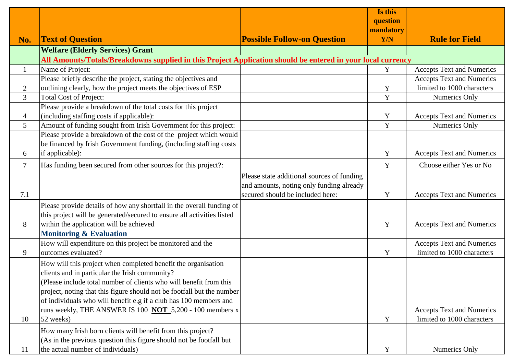|                |                                                                                                             |                                            | Is this    |                                  |
|----------------|-------------------------------------------------------------------------------------------------------------|--------------------------------------------|------------|----------------------------------|
|                |                                                                                                             |                                            | question   |                                  |
|                |                                                                                                             |                                            | mandatory  |                                  |
| No.            | <b>Text of Question</b>                                                                                     | <b>Possible Follow-on Question</b>         | <b>Y/N</b> | <b>Rule for Field</b>            |
|                | <b>Welfare (Elderly Services) Grant</b>                                                                     |                                            |            |                                  |
|                | All Amounts/Totals/Breakdowns supplied in this Project Application should be entered in your local currency |                                            |            |                                  |
| $\mathbf{1}$   | Name of Project:                                                                                            |                                            | Y          | <b>Accepts Text and Numerics</b> |
|                | Please briefly describe the project, stating the objectives and                                             |                                            |            | <b>Accepts Text and Numerics</b> |
| $\overline{2}$ | outlining clearly, how the project meets the objectives of ESP                                              |                                            | Y          | limited to 1000 characters       |
| 3              | <b>Total Cost of Project:</b>                                                                               |                                            | Y          | Numerics Only                    |
|                | Please provide a breakdown of the total costs for this project                                              |                                            |            |                                  |
| 4              | (including staffing costs if applicable):                                                                   |                                            | Y          | <b>Accepts Text and Numerics</b> |
| 5              | Amount of funding sought from Irish Government for this project:                                            |                                            | Y          | Numerics Only                    |
|                | Please provide a breakdown of the cost of the project which would                                           |                                            |            |                                  |
|                | be financed by Irish Government funding, (including staffing costs                                          |                                            |            |                                  |
| 6              | if applicable):                                                                                             |                                            | Y          | <b>Accepts Text and Numerics</b> |
| $\tau$         | Has funding been secured from other sources for this project?:                                              |                                            | Y          | Choose either Yes or No          |
|                |                                                                                                             | Please state additional sources of funding |            |                                  |
|                |                                                                                                             | and amounts, noting only funding already   |            |                                  |
| 7.1            |                                                                                                             | secured should be included here:           | Y          | <b>Accepts Text and Numerics</b> |
|                | Please provide details of how any shortfall in the overall funding of                                       |                                            |            |                                  |
|                | this project will be generated/secured to ensure all activities listed                                      |                                            |            |                                  |
| 8              | within the application will be achieved                                                                     |                                            | Y          | <b>Accepts Text and Numerics</b> |
|                | <b>Monitoring &amp; Evaluation</b>                                                                          |                                            |            |                                  |
|                | How will expenditure on this project be monitored and the                                                   |                                            |            | <b>Accepts Text and Numerics</b> |
| 9              | outcomes evaluated?                                                                                         |                                            | Y          | limited to 1000 characters       |
|                | How will this project when completed benefit the organisation                                               |                                            |            |                                  |
|                | clients and in particular the Irish community?                                                              |                                            |            |                                  |
|                | (Please include total number of clients who will benefit from this                                          |                                            |            |                                  |
|                | project, noting that this figure should not be footfall but the number                                      |                                            |            |                                  |
|                | of individuals who will benefit e.g if a club has 100 members and                                           |                                            |            |                                  |
|                | runs weekly, THE ANSWER IS 100 <b>NOT</b> 5,200 - 100 members x                                             |                                            |            | <b>Accepts Text and Numerics</b> |
| 10             | 52 weeks)                                                                                                   |                                            | Y          | limited to 1000 characters       |
|                | How many Irish born clients will benefit from this project?                                                 |                                            |            |                                  |
|                | (As in the previous question this figure should not be footfall but                                         |                                            |            |                                  |
| 11             | the actual number of individuals)                                                                           |                                            | Y          | Numerics Only                    |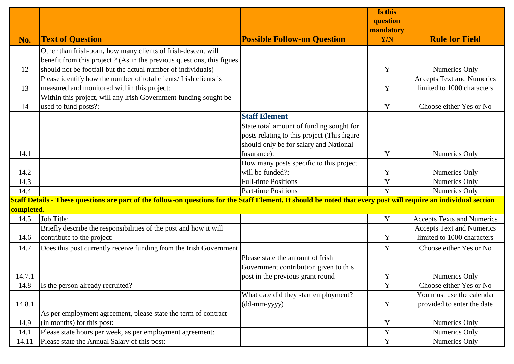|            |                                                                                                                                                                  |                                             | Is this<br>question |                                   |
|------------|------------------------------------------------------------------------------------------------------------------------------------------------------------------|---------------------------------------------|---------------------|-----------------------------------|
|            |                                                                                                                                                                  |                                             | mandatory           |                                   |
| No.        | <b>Text of Question</b>                                                                                                                                          | <b>Possible Follow-on Question</b>          | Y/N                 | <b>Rule for Field</b>             |
|            | Other than Irish-born, how many clients of Irish-descent will                                                                                                    |                                             |                     |                                   |
|            | benefit from this project ? (As in the previous questions, this figues                                                                                           |                                             |                     |                                   |
| 12         | should not be footfall but the actual number of individuals)                                                                                                     |                                             | Y                   | <b>Numerics Only</b>              |
|            | Please identify how the number of total clients/ Irish clients is                                                                                                |                                             |                     | <b>Accepts Text and Numerics</b>  |
| 13         | measured and monitored within this project:                                                                                                                      |                                             | Y                   | limited to 1000 characters        |
|            | Within this project, will any Irish Government funding sought be                                                                                                 |                                             |                     |                                   |
| 14         | used to fund posts?:                                                                                                                                             |                                             | Y                   | Choose either Yes or No           |
|            |                                                                                                                                                                  | <b>Staff Element</b>                        |                     |                                   |
|            |                                                                                                                                                                  | State total amount of funding sought for    |                     |                                   |
|            |                                                                                                                                                                  | posts relating to this project (This figure |                     |                                   |
|            |                                                                                                                                                                  | should only be for salary and National      |                     |                                   |
| 14.1       |                                                                                                                                                                  | Insurance):                                 | Y                   | Numerics Only                     |
|            |                                                                                                                                                                  | How many posts specific to this project     |                     |                                   |
| 14.2       |                                                                                                                                                                  | will be funded?:                            | Y                   | Numerics Only                     |
| 14.3       |                                                                                                                                                                  | <b>Full-time Positions</b>                  | $\mathbf Y$         | Numerics Only                     |
| 14.4       |                                                                                                                                                                  | <b>Part-time Positions</b>                  | Y                   | Numerics Only                     |
|            | Staff Details - These questions are part of the follow-on questions for the Staff Element. It should be noted that every post will require an individual section |                                             |                     |                                   |
| completed. |                                                                                                                                                                  |                                             |                     |                                   |
| 14.5       | Job Title:                                                                                                                                                       |                                             | Y                   | <b>Accepts Texts and Numerics</b> |
|            | Briefly describe the responsibilities of the post and how it will                                                                                                |                                             |                     | <b>Accepts Text and Numerics</b>  |
| 14.6       | contribute to the project:                                                                                                                                       |                                             | Y                   | limited to 1000 characters        |
| 14.7       | Does this post currently receive funding from the Irish Government                                                                                               |                                             | Y                   | Choose either Yes or No           |
|            |                                                                                                                                                                  | Please state the amount of Irish            |                     |                                   |
|            |                                                                                                                                                                  | Government contribution given to this       |                     |                                   |
| 14.7.1     |                                                                                                                                                                  | post in the previous grant round            | Y                   | <b>Numerics Only</b>              |
| 14.8       | Is the person already recruited?                                                                                                                                 |                                             | $\mathbf Y$         | Choose either Yes or No           |
|            |                                                                                                                                                                  | What date did they start employment?        |                     | You must use the calendar         |
| 14.8.1     |                                                                                                                                                                  | $(dd-mm-yyyy)$                              | Y                   | provided to enter the date        |
|            | As per employment agreement, please state the term of contract                                                                                                   |                                             |                     |                                   |
| 14.9       | (in months) for this post:                                                                                                                                       |                                             | Y                   | Numerics Only                     |
| 14.1       | Please state hours per week, as per employment agreement:                                                                                                        |                                             | $\mathbf Y$         | Numerics Only                     |
| 14.11      | Please state the Annual Salary of this post:                                                                                                                     |                                             | $\mathbf Y$         | <b>Numerics Only</b>              |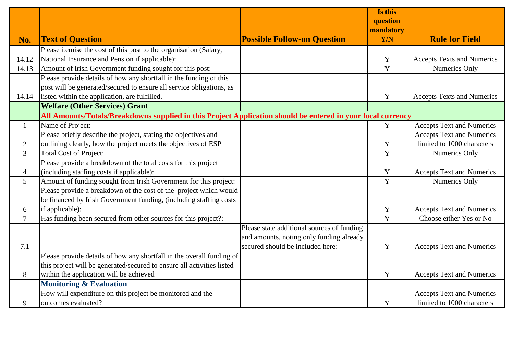|                |                                                                                                             |                                            | Is this<br>question |                                   |
|----------------|-------------------------------------------------------------------------------------------------------------|--------------------------------------------|---------------------|-----------------------------------|
|                |                                                                                                             |                                            | mandatory           |                                   |
| No.            | <b>Text of Question</b>                                                                                     | <b>Possible Follow-on Question</b>         | <b>Y/N</b>          | <b>Rule for Field</b>             |
|                | Please itemise the cost of this post to the organisation (Salary,                                           |                                            |                     |                                   |
| 14.12          | National Insurance and Pension if applicable):                                                              |                                            | Y                   | <b>Accepts Texts and Numerics</b> |
| 14.13          | Amount of Irish Government funding sought for this post:                                                    |                                            | Y                   | Numerics Only                     |
|                | Please provide details of how any shortfall in the funding of this                                          |                                            |                     |                                   |
|                | post will be generated/secured to ensure all service obligations, as                                        |                                            |                     |                                   |
| 14.14          | listed within the application, are fulfilled.                                                               |                                            | Y                   | <b>Accepts Texts and Numerics</b> |
|                | <b>Welfare (Other Services) Grant</b>                                                                       |                                            |                     |                                   |
|                | All Amounts/Totals/Breakdowns supplied in this Project Application should be entered in your local currency |                                            |                     |                                   |
| $\mathbf{1}$   | Name of Project:                                                                                            |                                            | $\mathbf Y$         | <b>Accepts Text and Numerics</b>  |
|                | Please briefly describe the project, stating the objectives and                                             |                                            |                     | <b>Accepts Text and Numerics</b>  |
| $\overline{2}$ | outlining clearly, how the project meets the objectives of ESP                                              |                                            | Y                   | limited to 1000 characters        |
| $\overline{3}$ | <b>Total Cost of Project:</b>                                                                               |                                            | Y                   | Numerics Only                     |
|                | Please provide a breakdown of the total costs for this project                                              |                                            |                     |                                   |
| 4              | (including staffing costs if applicable):                                                                   |                                            | Y                   | <b>Accepts Text and Numerics</b>  |
| 5              | Amount of funding sought from Irish Government for this project:                                            |                                            | $\overline{Y}$      | Numerics Only                     |
|                | Please provide a breakdown of the cost of the project which would                                           |                                            |                     |                                   |
|                | be financed by Irish Government funding, (including staffing costs                                          |                                            |                     |                                   |
| 6              | if applicable):                                                                                             |                                            | Y                   | <b>Accepts Text and Numerics</b>  |
| $\overline{7}$ | Has funding been secured from other sources for this project?:                                              |                                            | Y                   | Choose either Yes or No           |
|                |                                                                                                             | Please state additional sources of funding |                     |                                   |
|                |                                                                                                             | and amounts, noting only funding already   |                     |                                   |
| 7.1            |                                                                                                             | secured should be included here:           | Y                   | <b>Accepts Text and Numerics</b>  |
|                | Please provide details of how any shortfall in the overall funding of                                       |                                            |                     |                                   |
|                | this project will be generated/secured to ensure all activities listed                                      |                                            |                     |                                   |
| 8              | within the application will be achieved                                                                     |                                            | Y                   | <b>Accepts Text and Numerics</b>  |
|                | Monitoring & Evaluation                                                                                     |                                            |                     |                                   |
|                | How will expenditure on this project be monitored and the                                                   |                                            |                     | <b>Accepts Text and Numerics</b>  |
| 9              | outcomes evaluated?                                                                                         |                                            | $\mathbf Y$         | limited to 1000 characters        |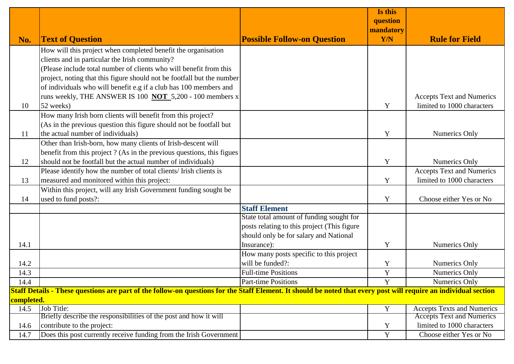|            |                                                                                                                                                                  |                                             | Is this<br>question |                                   |
|------------|------------------------------------------------------------------------------------------------------------------------------------------------------------------|---------------------------------------------|---------------------|-----------------------------------|
|            |                                                                                                                                                                  |                                             | mandatory           |                                   |
| No.        | <b>Text of Question</b>                                                                                                                                          | <b>Possible Follow-on Question</b>          | Y/N                 | <b>Rule for Field</b>             |
|            | How will this project when completed benefit the organisation                                                                                                    |                                             |                     |                                   |
|            | clients and in particular the Irish community?                                                                                                                   |                                             |                     |                                   |
|            | (Please include total number of clients who will benefit from this                                                                                               |                                             |                     |                                   |
|            | project, noting that this figure should not be footfall but the number                                                                                           |                                             |                     |                                   |
|            | of individuals who will benefit e.g if a club has 100 members and                                                                                                |                                             |                     |                                   |
|            | runs weekly, THE ANSWER IS 100 <b>NOT</b> 5,200 - 100 members x                                                                                                  |                                             |                     | <b>Accepts Text and Numerics</b>  |
| 10         | 52 weeks)                                                                                                                                                        |                                             | Y                   | limited to 1000 characters        |
|            | How many Irish born clients will benefit from this project?                                                                                                      |                                             |                     |                                   |
|            | (As in the previous question this figure should not be footfall but                                                                                              |                                             |                     |                                   |
| 11         | the actual number of individuals)                                                                                                                                |                                             | Y                   | Numerics Only                     |
|            | Other than Irish-born, how many clients of Irish-descent will                                                                                                    |                                             |                     |                                   |
|            | benefit from this project? (As in the previous questions, this figues                                                                                            |                                             |                     |                                   |
| 12         | should not be footfall but the actual number of individuals)                                                                                                     |                                             | Y                   | Numerics Only                     |
|            | Please identify how the number of total clients/ Irish clients is                                                                                                |                                             |                     | <b>Accepts Text and Numerics</b>  |
| 13         | measured and monitored within this project:                                                                                                                      |                                             | Y                   | limited to 1000 characters        |
|            | Within this project, will any Irish Government funding sought be                                                                                                 |                                             |                     |                                   |
| 14         | used to fund posts?:                                                                                                                                             |                                             | Y                   | Choose either Yes or No           |
|            |                                                                                                                                                                  | <b>Staff Element</b>                        |                     |                                   |
|            |                                                                                                                                                                  | State total amount of funding sought for    |                     |                                   |
|            |                                                                                                                                                                  | posts relating to this project (This figure |                     |                                   |
|            |                                                                                                                                                                  | should only be for salary and National      |                     |                                   |
| 14.1       |                                                                                                                                                                  | Insurance):                                 | Y                   | Numerics Only                     |
|            |                                                                                                                                                                  | How many posts specific to this project     |                     |                                   |
| 14.2       |                                                                                                                                                                  | will be funded?:                            | Y                   | Numerics Only                     |
| 14.3       |                                                                                                                                                                  | <b>Full-time Positions</b>                  | Y                   | Numerics Only                     |
| 14.4       |                                                                                                                                                                  | Part-time Positions                         |                     | Numerics Only                     |
| completed. | Staff Details - These questions are part of the follow-on questions for the Staff Element. It should be noted that every post will require an individual section |                                             |                     |                                   |
| 14.5       | Job Title:                                                                                                                                                       |                                             | Y                   | <b>Accepts Texts and Numerics</b> |
|            | Briefly describe the responsibilities of the post and how it will                                                                                                |                                             |                     | <b>Accepts Text and Numerics</b>  |
| 14.6       | contribute to the project:                                                                                                                                       |                                             | Y                   | limited to 1000 characters        |
| 14.7       | Does this post currently receive funding from the Irish Government                                                                                               |                                             | $\mathbf Y$         | Choose either Yes or No           |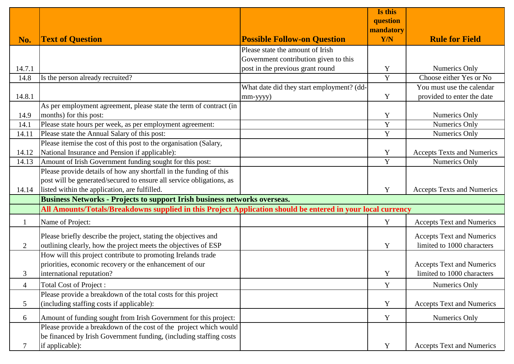|                |                                                                                                             |                                           | Is this<br>question |                                   |  |
|----------------|-------------------------------------------------------------------------------------------------------------|-------------------------------------------|---------------------|-----------------------------------|--|
|                |                                                                                                             |                                           | mandatory           |                                   |  |
| No.            | <b>Text of Question</b>                                                                                     | <b>Possible Follow-on Question</b>        | Y/N                 | <b>Rule for Field</b>             |  |
|                |                                                                                                             | Please state the amount of Irish          |                     |                                   |  |
|                |                                                                                                             | Government contribution given to this     |                     |                                   |  |
| 14.7.1         |                                                                                                             | post in the previous grant round          | Y                   | Numerics Only                     |  |
| 14.8           | Is the person already recruited?                                                                            |                                           | Y                   | Choose either Yes or No           |  |
|                |                                                                                                             | What date did they start employment? (dd- |                     | You must use the calendar         |  |
| 14.8.1         |                                                                                                             | mm-yyyy)                                  | Y                   | provided to enter the date        |  |
|                | As per employment agreement, please state the term of contract (in                                          |                                           |                     |                                   |  |
| 14.9           | months) for this post:                                                                                      |                                           | Y                   | Numerics Only                     |  |
| 14.1           | Please state hours per week, as per employment agreement:                                                   |                                           | $\mathbf Y$         | <b>Numerics Only</b>              |  |
| 14.11          | Please state the Annual Salary of this post:                                                                |                                           | Y                   | <b>Numerics Only</b>              |  |
|                | Please itemise the cost of this post to the organisation (Salary,                                           |                                           |                     |                                   |  |
| 14.12          | National Insurance and Pension if applicable):                                                              |                                           | Y                   | <b>Accepts Texts and Numerics</b> |  |
| 14.13          | Amount of Irish Government funding sought for this post:                                                    |                                           | Y                   | Numerics Only                     |  |
|                | Please provide details of how any shortfall in the funding of this                                          |                                           |                     |                                   |  |
|                | post will be generated/secured to ensure all service obligations, as                                        |                                           |                     |                                   |  |
| 14.14          | listed within the application, are fulfilled.                                                               |                                           | Y                   | <b>Accepts Texts and Numerics</b> |  |
|                | Business Networks - Projects to support Irish business networks overseas.                                   |                                           |                     |                                   |  |
|                | All Amounts/Totals/Breakdowns supplied in this Project Application should be entered in your local currency |                                           |                     |                                   |  |
|                | Name of Project:                                                                                            |                                           | Y                   | <b>Accepts Text and Numerics</b>  |  |
|                | Please briefly describe the project, stating the objectives and                                             |                                           |                     | <b>Accepts Text and Numerics</b>  |  |
| 2              | outlining clearly, how the project meets the objectives of ESP                                              |                                           | Y                   | limited to 1000 characters        |  |
|                | How will this project contribute to promoting Irelands trade                                                |                                           |                     |                                   |  |
|                | priorities, economic recovery or the enhancement of our                                                     |                                           |                     | <b>Accepts Text and Numerics</b>  |  |
| 3              | international reputation?                                                                                   |                                           | Y                   | limited to 1000 characters        |  |
| $\overline{4}$ | <b>Total Cost of Project:</b>                                                                               |                                           | Y                   | Numerics Only                     |  |
|                | Please provide a breakdown of the total costs for this project                                              |                                           |                     |                                   |  |
| $\mathfrak{S}$ | (including staffing costs if applicable):                                                                   |                                           | Y                   | <b>Accepts Text and Numerics</b>  |  |
| 6              | Amount of funding sought from Irish Government for this project:                                            |                                           | Y                   | Numerics Only                     |  |
|                | Please provide a breakdown of the cost of the project which would                                           |                                           |                     |                                   |  |
|                | be financed by Irish Government funding, (including staffing costs                                          |                                           |                     |                                   |  |
|                | if applicable):                                                                                             |                                           | Y                   | <b>Accepts Text and Numerics</b>  |  |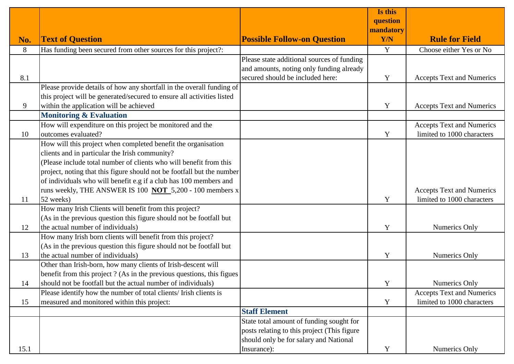|      |                                                                        |                                             | Is this   |                                  |
|------|------------------------------------------------------------------------|---------------------------------------------|-----------|----------------------------------|
|      |                                                                        |                                             | question  |                                  |
|      |                                                                        |                                             | mandatory |                                  |
| No.  | <b>Text of Question</b>                                                | <b>Possible Follow-on Question</b>          | Y/N       | <b>Rule for Field</b>            |
| 8    | Has funding been secured from other sources for this project?:         |                                             | Y         | Choose either Yes or No          |
|      |                                                                        | Please state additional sources of funding  |           |                                  |
|      |                                                                        | and amounts, noting only funding already    |           |                                  |
| 8.1  |                                                                        | secured should be included here:            | Y         | <b>Accepts Text and Numerics</b> |
|      | Please provide details of how any shortfall in the overall funding of  |                                             |           |                                  |
|      | this project will be generated/secured to ensure all activities listed |                                             |           |                                  |
| 9    | within the application will be achieved                                |                                             | Y         | <b>Accepts Text and Numerics</b> |
|      | <b>Monitoring &amp; Evaluation</b>                                     |                                             |           |                                  |
|      | How will expenditure on this project be monitored and the              |                                             |           | <b>Accepts Text and Numerics</b> |
| 10   | outcomes evaluated?                                                    |                                             | Y         | limited to 1000 characters       |
|      | How will this project when completed benefit the organisation          |                                             |           |                                  |
|      | clients and in particular the Irish community?                         |                                             |           |                                  |
|      | (Please include total number of clients who will benefit from this     |                                             |           |                                  |
|      | project, noting that this figure should not be footfall but the number |                                             |           |                                  |
|      | of individuals who will benefit e.g if a club has 100 members and      |                                             |           |                                  |
|      | runs weekly, THE ANSWER IS 100 NOT 5,200 - 100 members x               |                                             |           | <b>Accepts Text and Numerics</b> |
| 11   | 52 weeks)                                                              |                                             | Y         | limited to 1000 characters       |
|      | How many Irish Clients will benefit from this project?                 |                                             |           |                                  |
|      | (As in the previous question this figure should not be footfall but    |                                             |           |                                  |
| 12   | the actual number of individuals)                                      |                                             | Y         | Numerics Only                    |
|      | How many Irish born clients will benefit from this project?            |                                             |           |                                  |
|      | (As in the previous question this figure should not be footfall but    |                                             |           |                                  |
| 13   | the actual number of individuals)                                      |                                             | Y         | Numerics Only                    |
|      | Other than Irish-born, how many clients of Irish-descent will          |                                             |           |                                  |
|      | benefit from this project? (As in the previous questions, this figues  |                                             |           |                                  |
| 14   | should not be footfall but the actual number of individuals)           |                                             | Y         | Numerics Only                    |
|      | Please identify how the number of total clients/ Irish clients is      |                                             |           | <b>Accepts Text and Numerics</b> |
| 15   | measured and monitored within this project:                            |                                             | Y         | limited to 1000 characters       |
|      |                                                                        | <b>Staff Element</b>                        |           |                                  |
|      |                                                                        | State total amount of funding sought for    |           |                                  |
|      |                                                                        | posts relating to this project (This figure |           |                                  |
|      |                                                                        | should only be for salary and National      |           |                                  |
| 15.1 |                                                                        | Insurance):                                 | Y         | Numerics Only                    |